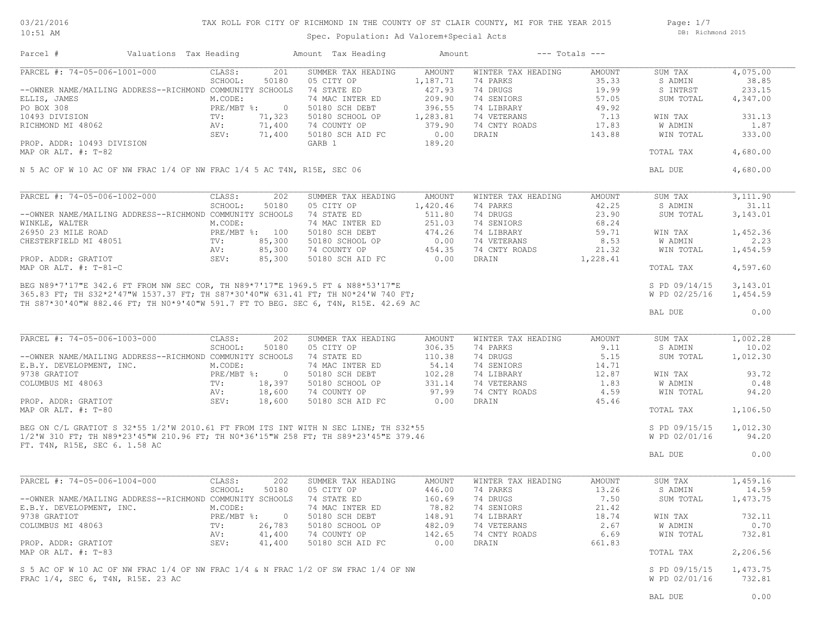03/21/2016 10:51 AM

# TAX ROLL FOR CITY OF RICHMOND IN THE COUNTY OF ST CLAIR COUNTY, MI FOR THE YEAR 2015

Spec. Population: Ad Valorem+Special Acts

Page: 1/7 DB: Richmond 2015

| Parcel #                                                                                                                                                                                                                                | Valuations Tax Heading |                           |                  | Amount Tax Heading                | Amount           |                          | $---$ Totals $---$ |               |          |
|-----------------------------------------------------------------------------------------------------------------------------------------------------------------------------------------------------------------------------------------|------------------------|---------------------------|------------------|-----------------------------------|------------------|--------------------------|--------------------|---------------|----------|
| PARCEL #: 74-05-006-1001-000                                                                                                                                                                                                            |                        | CLASS:                    | 201              | SUMMER TAX HEADING                | AMOUNT           | WINTER TAX HEADING       | AMOUNT             | SUM TAX       | 4,075.00 |
|                                                                                                                                                                                                                                         |                        | SCHOOL:                   | 50180            | 05 CITY OP                        | 1,187.71         | 74 PARKS                 | 35.33              | S ADMIN       | 38.85    |
| --OWNER NAME/MAILING ADDRESS--RICHMOND COMMUNITY SCHOOLS                                                                                                                                                                                |                        |                           |                  | 74 STATE ED                       | 427.93           | 74 DRUGS                 | 19.99              | S INTRST      | 233.15   |
| ELLIS, JAMES<br>PO BOX 308                                                                                                                                                                                                              |                        | M.CODE:<br>PRE/MBT %: 0   |                  | 74 MAC INTER ED<br>50180 SCH DEBT | 209.90<br>396.55 | 74 SENIORS<br>74 LIBRARY | 57.05<br>49.92     | SUM TOTAL     | 4,347.00 |
| 10493 DIVISION                                                                                                                                                                                                                          |                        | TV:                       | 71,323           | 50180 SCHOOL OP                   | 1,283.81         | 74 VETERANS              | 7.13               | WIN TAX       | 331.13   |
| RICHMOND MI 48062                                                                                                                                                                                                                       |                        | AV:                       | 71,400           | 74 COUNTY OP                      | 379.90           | 74 CNTY ROADS            | 17.83              | W ADMIN       | 1.87     |
|                                                                                                                                                                                                                                         |                        | SEV:                      | 71,400           | 50180 SCH AID FC                  | 0.00             | DRAIN                    | 143.88             | WIN TOTAL     | 333.00   |
| PROP. ADDR: 10493 DIVISION                                                                                                                                                                                                              |                        |                           |                  | GARB 1                            | 189.20           |                          |                    |               |          |
| MAP OR ALT. #: T-82                                                                                                                                                                                                                     |                        |                           |                  |                                   |                  |                          |                    | TOTAL TAX     | 4,680.00 |
|                                                                                                                                                                                                                                         |                        |                           |                  |                                   |                  |                          |                    |               |          |
| N 5 AC OF W 10 AC OF NW FRAC 1/4 OF NW FRAC 1/4 5 AC T4N, R15E, SEC 06                                                                                                                                                                  |                        |                           |                  |                                   |                  |                          |                    | BAL DUE       | 4,680.00 |
| PARCEL #: 74-05-006-1002-000                                                                                                                                                                                                            |                        | CLASS:                    | 202              | SUMMER TAX HEADING                | AMOUNT           | WINTER TAX HEADING       | AMOUNT             | SUM TAX       | 3,111.90 |
|                                                                                                                                                                                                                                         |                        | SCHOOL:                   | 50180            | 05 CITY OP                        | 1,420.46         | 74 PARKS                 | 42.25              | S ADMIN       | 31.11    |
| --OWNER NAME/MAILING ADDRESS--RICHMOND COMMUNITY SCHOOLS                                                                                                                                                                                |                        |                           |                  | 74 STATE ED                       | 511.80           | 74 DRUGS                 | 23.90              | SUM TOTAL     | 3,143.01 |
| WINKLE, WALTER                                                                                                                                                                                                                          |                        | M.CODE:                   |                  | 74 MAC INTER ED                   | 251.03           | 74 SENIORS               | 68.24              |               |          |
| 26950 23 MILE ROAD                                                                                                                                                                                                                      |                        | PRE/MBT %: 100            |                  | 50180 SCH DEBT                    | 474.26           | 74 LIBRARY               | 59.71              | WIN TAX       | 1,452.36 |
| CHESTERFIELD MI 48051                                                                                                                                                                                                                   |                        | TV:                       | 85,300           |                                   | 0.00             | 74 VETERANS              |                    | W ADMIN       | 2.23     |
|                                                                                                                                                                                                                                         |                        |                           |                  | 50180 SCHOOL OP                   |                  |                          | 8.53               |               |          |
| PROP. ADDR: GRATIOT                                                                                                                                                                                                                     |                        | AV:<br>SEV:               | 85,300<br>85,300 | 74 COUNTY OP<br>50180 SCH AID FC  | 454.35<br>0.00   | 74 CNTY ROADS<br>DRAIN   | 21.32<br>1,228.41  | WIN TOTAL     | 1,454.59 |
| MAP OR ALT. #: T-81-C                                                                                                                                                                                                                   |                        |                           |                  |                                   |                  |                          |                    | TOTAL TAX     | 4,597.60 |
| MAP OR ALT. #: T-01-V<br>BEG N89*7'17"E 342.6 FT FROM NW SEC COR, TH N89*7'17"E 1969.5 FT & N88*53'17"E<br>365.83 FT; TH S32*2'47"W 1537.37 FT; TH S87*30'40"W 631.41 FT; TH N0*24'W 740 FT;<br>365.83 FT; TH S32*2'47"W 1537.37 FT; TH |                        |                           |                  |                                   |                  |                          |                    |               |          |
|                                                                                                                                                                                                                                         |                        |                           |                  |                                   |                  |                          |                    | S PD 09/14/15 | 3,143.01 |
|                                                                                                                                                                                                                                         |                        |                           |                  |                                   |                  |                          |                    | W PD 02/25/16 | 1,454.59 |
|                                                                                                                                                                                                                                         |                        |                           |                  |                                   |                  |                          |                    |               |          |
|                                                                                                                                                                                                                                         |                        |                           |                  |                                   |                  |                          |                    | BAL DUE       | 0.00     |
| PARCEL #: 74-05-006-1003-000                                                                                                                                                                                                            |                        | CLASS:                    | 202              | SUMMER TAX HEADING                | <b>AMOUNT</b>    | WINTER TAX HEADING       | <b>AMOUNT</b>      | SUM TAX       | 1,002.28 |
|                                                                                                                                                                                                                                         |                        | SCHOOL:                   | 50180            | 05 CITY OP                        | 306.35           | 74 PARKS                 | 9.11               | S ADMIN       | 10.02    |
| --OWNER NAME/MAILING ADDRESS--RICHMOND COMMUNITY SCHOOLS                                                                                                                                                                                |                        |                           |                  | 74 STATE ED                       | 110.38           | 74 DRUGS                 | 5.15               | SUM TOTAL     | 1,012.30 |
| E.B.Y. DEVELOPMENT, INC.                                                                                                                                                                                                                |                        | M.CODE:                   |                  | 74 MAC INTER ED                   | 54.14            | 74 SENIORS               | 14.71              |               |          |
| 9738 GRATIOT                                                                                                                                                                                                                            |                        | $PRE/MBT$ %:              | $\overline{0}$   | 50180 SCH DEBT                    | 102.28           | 74 LIBRARY               | 12.87              | WIN TAX       | 93.72    |
| COLUMBUS MI 48063                                                                                                                                                                                                                       |                        | $\text{TV}$ :             | 18,397           | 50180 SCHOOL OP                   | 331.14           | 74 VETERANS              | 1.83               | W ADMIN       | 0.48     |
|                                                                                                                                                                                                                                         |                        | AV:                       | 18,600           | 74 COUNTY OP                      | 97.99            | 74 CNTY ROADS            | 4.59               | WIN TOTAL     | 94.20    |
| PROP. ADDR: GRATIOT                                                                                                                                                                                                                     |                        | SEV:                      | 18,600           | 50180 SCH AID FC                  | 0.00             | DRAIN                    | 45.46              |               |          |
| MAP OR ALT. $\#$ : T-80                                                                                                                                                                                                                 |                        |                           |                  |                                   |                  |                          |                    | TOTAL TAX     | 1,106.50 |
|                                                                                                                                                                                                                                         |                        |                           |                  |                                   |                  |                          |                    |               |          |
|                                                                                                                                                                                                                                         |                        |                           |                  |                                   |                  |                          |                    | S PD 09/15/15 | 1,012.30 |
|                                                                                                                                                                                                                                         |                        |                           |                  |                                   |                  |                          |                    | W PD 02/01/16 | 94.20    |
| FT. T4N, R15E, SEC 6. 1.58 AC                                                                                                                                                                                                           |                        |                           |                  |                                   |                  |                          |                    | BAL DUE       | 0.00     |
|                                                                                                                                                                                                                                         |                        |                           |                  |                                   |                  |                          |                    |               |          |
| PARCEL #: 74-05-006-1004-000                                                                                                                                                                                                            |                        | CLASS:                    | 202              | SUMMER TAX HEADING                | AMOUNT           | WINTER TAX HEADING       | AMOUNT             | SUM TAX       | 1,459.16 |
|                                                                                                                                                                                                                                         |                        | SCHOOL:                   | 50180            | 05 CITY OP                        | 446.00           | 74 PARKS                 | 13.26              | S ADMIN       | 14.59    |
| --OWNER NAME/MAILING ADDRESS--RICHMOND COMMUNITY SCHOOLS                                                                                                                                                                                |                        |                           |                  | 74 STATE ED                       | 160.69           | 74 DRUGS                 | 7.50               | SUM TOTAL     | 1,473.75 |
| E.B.Y. DEVELOPMENT, INC.                                                                                                                                                                                                                |                        | M.CODE:                   |                  | 74 MAC INTER ED                   | 78.82            | 74 SENIORS               | 21.42              |               |          |
| 9738 GRATIOT                                                                                                                                                                                                                            |                        | $PRE/MBT$ $\frac{1}{6}$ : | $\circ$          | 50180 SCH DEBT                    | 148.91           | 74 LIBRARY               | 18.74              | WIN TAX       | 732.11   |
| COLUMBUS MI 48063                                                                                                                                                                                                                       |                        | TV:                       | 26,783           | 50180 SCHOOL OP                   | 482.09           | 74 VETERANS              | 2.67               | W ADMIN       | 0.70     |
|                                                                                                                                                                                                                                         |                        | AV:                       | 41,400           | 74 COUNTY OP                      | 142.65           | 74 CNTY ROADS            | 6.69               | WIN TOTAL     | 732.81   |
| PROP. ADDR: GRATIOT                                                                                                                                                                                                                     |                        | SEV:                      | 41,400           | 50180 SCH AID FC                  | 0.00             | DRAIN                    | 661.83             |               |          |
| MAP OR ALT. #: T-83                                                                                                                                                                                                                     |                        |                           |                  |                                   |                  |                          |                    | TOTAL TAX     | 2,206.56 |
|                                                                                                                                                                                                                                         |                        |                           |                  |                                   |                  |                          |                    |               |          |
| S 5 AC OF W 10 AC OF NW FRAC 1/4 OF NW FRAC 1/4 & N FRAC 1/2 OF SW FRAC 1/4 OF NW                                                                                                                                                       |                        |                           |                  |                                   |                  |                          |                    | S PD 09/15/15 | 1,473.75 |
| FRAC 1/4, SEC 6, T4N, R15E. 23 AC                                                                                                                                                                                                       |                        |                           |                  |                                   |                  |                          |                    | W PD 02/01/16 | 732.81   |
|                                                                                                                                                                                                                                         |                        |                           |                  |                                   |                  |                          |                    |               |          |
|                                                                                                                                                                                                                                         |                        |                           |                  |                                   |                  |                          |                    | BAL DUE       | 0.00     |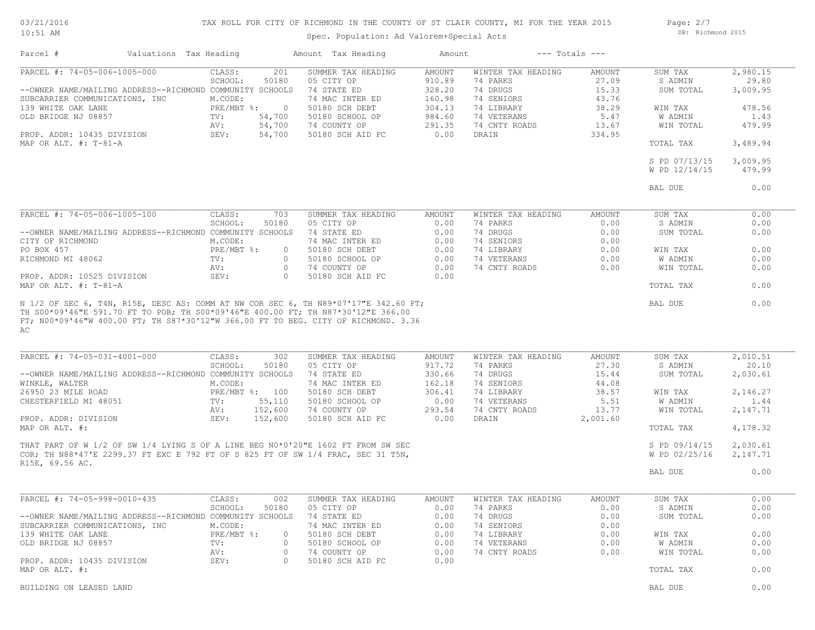### 03/21/2016 10:51 AM

# TAX ROLL FOR CITY OF RICHMOND IN THE COUNTY OF ST CLAIR COUNTY, MI FOR THE YEAR 2015

Spec. Population: Ad Valorem+Special Acts

Page: 2/7 DB: Richmond 2015

| Parcel #                                                 | Valuations Tax Heading |                   |                           | Amount Tax Heading                                                               | Amount                  |                                | $---$ Totals $---$ |                    |                    |
|----------------------------------------------------------|------------------------|-------------------|---------------------------|----------------------------------------------------------------------------------|-------------------------|--------------------------------|--------------------|--------------------|--------------------|
| PARCEL #: 74-05-006-1005-000                             |                        | CLASS:            | 201                       | SUMMER TAX HEADING                                                               | <b>AMOUNT</b>           | WINTER TAX HEADING             | AMOUNT             | SUM TAX            | 2,980.15           |
|                                                          |                        | SCHOOL:           | 50180                     | 05 CITY OP                                                                       | 910.89                  | 74 PARKS                       | 27.09              | S ADMIN            | 29.80              |
| --OWNER NAME/MAILING ADDRESS--RICHMOND COMMUNITY SCHOOLS |                        |                   |                           | 74 STATE ED                                                                      | 328.20                  | 74 DRUGS                       | 15.33              | SUM TOTAL          | 3,009.95           |
| SUBCARRIER COMMUNICATIONS, INC                           |                        | M.CODE:           |                           | 74 MAC INTER ED                                                                  | 160.98                  | 74 SENIORS                     | 43.76              |                    |                    |
| 139 WHITE OAK LANE                                       |                        | PRE/MBT %:        | $\overline{0}$            | 50180 SCH DEBT                                                                   | 304.13                  | 74 LIBRARY                     | 38.29              | WIN TAX            | 478.56             |
| OLD BRIDGE NJ 08857                                      |                        | TV:               | 54,700                    | 50180 SCHOOL OP                                                                  | 984.60                  | 74 VETERANS                    | 5.47               | W ADMIN            | 1.43               |
|                                                          |                        | AV:               | 54,700                    | 74 COUNTY OP                                                                     | 291.35                  | 74 CNTY ROADS                  | 13.67              | WIN TOTAL          | 479.99             |
| PROP. ADDR: 10435 DIVISION<br>MAP OR ALT. $\#$ : T-81-A  |                        | SEV:              | 54,700                    | 50180 SCH AID FC                                                                 | 0.00                    | DRAIN                          | 334.95             | TOTAL TAX          | 3,489.94           |
|                                                          |                        |                   |                           |                                                                                  |                         |                                |                    | S PD 07/13/15      |                    |
|                                                          |                        |                   |                           |                                                                                  |                         |                                |                    | W PD 12/14/15      | 3,009.95<br>479.99 |
|                                                          |                        |                   |                           |                                                                                  |                         |                                |                    |                    |                    |
|                                                          |                        |                   |                           |                                                                                  |                         |                                |                    | BAL DUE            | 0.00               |
|                                                          |                        |                   |                           |                                                                                  |                         |                                |                    |                    |                    |
| PARCEL #: 74-05-006-1005-100                             |                        | CLASS:            | 703                       | SUMMER TAX HEADING                                                               | <b>AMOUNT</b>           | WINTER TAX HEADING             | AMOUNT             | SUM TAX            | 0.00               |
|                                                          |                        | SCHOOL:           | 50180                     | 05 CITY OP                                                                       | 0.00                    | 74 PARKS                       | 0.00               | S ADMIN            | 0.00               |
| --OWNER NAME/MAILING ADDRESS--RICHMOND COMMUNITY SCHOOLS |                        |                   |                           | 74 STATE ED                                                                      | 0.00                    | 74 DRUGS                       | 0.00               | SUM TOTAL          | 0.00               |
| CITY OF RICHMOND                                         |                        | M.CODE:           |                           | 74 MAC INTER ED                                                                  | 0.00                    | 74 SENIORS                     | 0.00               |                    |                    |
| PO BOX 457                                               |                        | $PRE/MBT$ $\div$  | $\circ$                   | 50180 SCH DEBT                                                                   | 0.00                    | 74 LIBRARY                     | 0.00               | WIN TAX            | 0.00               |
| RICHMOND MI 48062                                        |                        | TV:               | $\circ$                   | 50180 SCHOOL OP                                                                  | 0.00                    | 74 VETERANS                    | 0.00               | W ADMIN            | 0.00               |
| PROP. ADDR: 10525 DIVISION                               |                        | AV:<br>SEV:       | $\circ$<br>$\Omega$       | 74 COUNTY OP<br>50180 SCH AID FC                                                 | 0.00<br>0.00            | 74 CNTY ROADS                  | 0.00               | WIN TOTAL          | 0.00               |
| MAP OR ALT. #: T-81-A                                    |                        |                   |                           |                                                                                  |                         |                                |                    | TOTAL TAX          | 0.00               |
| AC                                                       |                        |                   |                           |                                                                                  |                         |                                |                    |                    |                    |
| PARCEL #: 74-05-031-4001-000                             |                        | CLASS:<br>SCHOOL: | 302<br>50180              | SUMMER TAX HEADING<br>05 CITY OP                                                 | <b>AMOUNT</b><br>917.72 | WINTER TAX HEADING<br>74 PARKS | AMOUNT<br>27.30    | SUM TAX<br>S ADMIN | 2,010.51<br>20.10  |
| --OWNER NAME/MAILING ADDRESS--RICHMOND COMMUNITY SCHOOLS |                        |                   |                           | 74 STATE ED                                                                      | 330.66                  | 74 DRUGS                       | 15.44              | SUM TOTAL          | 2,030.61           |
| WINKLE, WALTER                                           |                        | M.CODE:           |                           | 74 MAC INTER ED                                                                  | 162.18                  | 74 SENIORS                     | 44.08              |                    |                    |
| 26950 23 MILE ROAD                                       |                        | PRE/MBT %: 100    |                           | 50180 SCH DEBT                                                                   | 306.41                  | 74 LIBRARY                     | 38.57              | WIN TAX            | 2,146.27           |
| CHESTERFIELD MI 48051                                    |                        | TV:               | 55,110                    | 50180 SCHOOL OP                                                                  | 0.00                    | 74 VETERANS                    | 5.51               | W ADMIN            | 1.44               |
|                                                          |                        | AV:               | 152,600                   | 74 COUNTY OP                                                                     | 293.54                  | 74 CNTY ROADS                  | 13.77              | WIN TOTAL          | 2,147.71           |
| PROP. ADDR: DIVISION                                     |                        | SEV:              | 152,600                   | 50180 SCH AID FC                                                                 | 0.00                    | DRAIN                          | 2,001.60           |                    |                    |
| MAP OR ALT. #:                                           |                        |                   |                           |                                                                                  |                         |                                |                    | TOTAL TAX          | 4,178.32           |
|                                                          |                        |                   |                           | THAT PART OF W 1/2 OF SW 1/4 LYING S OF A LINE BEG N0*0'20"E 1602 FT FROM SW SEC |                         |                                |                    | S PD 09/14/15      | 2,030.61           |
|                                                          |                        |                   |                           | COR; TH N88*47'E 2299.37 FT EXC E 792 FT OF S 825 FT OF SW 1/4 FRAC, SEC 31 T5N, |                         |                                |                    | W PD 02/25/16      | 2,147.71           |
| R15E, 69.56 AC.                                          |                        |                   |                           |                                                                                  |                         |                                |                    |                    |                    |
|                                                          |                        |                   |                           |                                                                                  |                         |                                |                    | BAL DUE            | 0.00               |
|                                                          |                        |                   |                           |                                                                                  |                         |                                |                    |                    |                    |
| PARCEL #: 74-05-998-0010-435                             |                        | CLASS:            | 002                       | SUMMER TAX HEADING                                                               | AMOUNT                  | WINTER TAX HEADING             | AMOUNT             | SUM TAX            | 0.00               |
|                                                          |                        | SCHOOL:           | 50180                     | 05 CITY OP                                                                       | 0.00                    | 74 PARKS                       | 0.00               | S ADMIN            | 0.00               |
| --OWNER NAME/MAILING ADDRESS--RICHMOND COMMUNITY SCHOOLS |                        |                   |                           | 74 STATE ED                                                                      | 0.00                    | 74 DRUGS                       | 0.00               | SUM TOTAL          | 0.00               |
| SUBCARRIER COMMUNICATIONS, INC                           |                        | M.CODE:           |                           | 74 MAC INTER ED                                                                  | 0.00                    | 74 SENIORS<br>74 LIBRARY       | 0.00               |                    |                    |
| 139 WHITE OAK LANE<br>OLD BRIDGE NJ 08857                |                        | $PRE/MBT$ %:      | $\overline{0}$<br>$\circ$ | 50180 SCH DEBT<br>50180 SCHOOL OP                                                | 0.00                    | 74 VETERANS                    | 0.00               | WIN TAX<br>W ADMIN | 0.00<br>0.00       |
|                                                          |                        | TV:<br>AV:        | $\circ$                   | 74 COUNTY OP                                                                     | 0.00<br>0.00            | 74 CNTY ROADS                  | 0.00<br>0.00       | WIN TOTAL          | 0.00               |
| PROP. ADDR: 10435 DIVISION                               |                        | SEV:              | $\circ$                   | 50180 SCH AID FC                                                                 | 0.00                    |                                |                    |                    |                    |
| MAP OR ALT. #:                                           |                        |                   |                           |                                                                                  |                         |                                |                    | TOTAL TAX          | 0.00               |
| BUILDING ON LEASED LAND                                  |                        |                   |                           |                                                                                  |                         |                                |                    | BAL DUE            | 0.00               |
|                                                          |                        |                   |                           |                                                                                  |                         |                                |                    |                    |                    |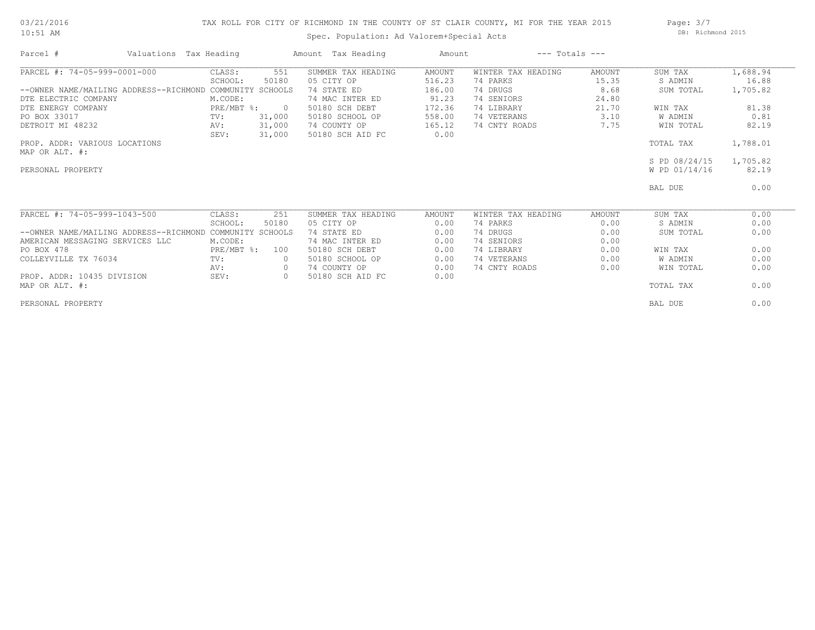# 03/21/2016 10:51 AM

# TAX ROLL FOR CITY OF RICHMOND IN THE COUNTY OF ST CLAIR COUNTY, MI FOR THE YEAR 2015

Spec. Population: Ad Valorem+Special Acts

Page: 3/7 DB: Richmond 2015

| Parcel #                               | Valuations Tax Heading |                | Amount Tax Heading | Amount |                    | $---$ Totals $---$ |               |          |
|----------------------------------------|------------------------|----------------|--------------------|--------|--------------------|--------------------|---------------|----------|
| PARCEL #: 74-05-999-0001-000           | CLASS:                 | 551            | SUMMER TAX HEADING | AMOUNT | WINTER TAX HEADING | AMOUNT             | SUM TAX       | 1,688.94 |
|                                        | SCHOOL:                | 50180          | 05 CITY OP         | 516.23 | 74 PARKS           | 15.35              | S ADMIN       | 16.88    |
| --OWNER NAME/MAILING ADDRESS--RICHMOND | COMMUNITY SCHOOLS      |                | 74 STATE ED        | 186.00 | 74 DRUGS           | 8.68               | SUM TOTAL     | 1,705.82 |
| DTE ELECTRIC COMPANY                   | M.CODE:                |                | 74 MAC INTER ED    | 91.23  | 74 SENIORS         | 24.80              |               |          |
| DTE ENERGY COMPANY                     | PRE/MBT %:             | $\overline{0}$ | 50180 SCH DEBT     | 172.36 | 74 LIBRARY         | 21.70              | WIN TAX       | 81.38    |
| PO BOX 33017                           | TV:                    | 31,000         | 50180 SCHOOL OP    | 558.00 | 74 VETERANS        | 3.10               | W ADMIN       | 0.81     |
| DETROIT MI 48232                       | AV:                    | 31,000         | 74 COUNTY OP       | 165.12 | 74 CNTY ROADS      | 7.75               | WIN TOTAL     | 82.19    |
|                                        | SEV:                   | 31,000         | 50180 SCH AID FC   | 0.00   |                    |                    |               |          |
| PROP. ADDR: VARIOUS LOCATIONS          |                        |                |                    |        |                    |                    | TOTAL TAX     | 1,788.01 |
| MAP OR ALT. #:                         |                        |                |                    |        |                    |                    |               |          |
|                                        |                        |                |                    |        |                    |                    | S PD 08/24/15 | 1,705.82 |
| PERSONAL PROPERTY                      |                        |                |                    |        |                    |                    | W PD 01/14/16 | 82.19    |
|                                        |                        |                |                    |        |                    |                    | BAL DUE       | 0.00     |
| PARCEL #: 74-05-999-1043-500           | CLASS:                 | 251            | SUMMER TAX HEADING | AMOUNT | WINTER TAX HEADING | AMOUNT             | SUM TAX       | 0.00     |
|                                        | SCHOOL:                | 50180          | 05 CITY OP         | 0.00   | 74 PARKS           | 0.00               | S ADMIN       | 0.00     |
| --OWNER NAME/MAILING ADDRESS--RICHMOND | COMMUNITY SCHOOLS      |                | 74 STATE ED        | 0.00   | 74 DRUGS           | 0.00               | SUM TOTAL     | 0.00     |
| AMERICAN MESSAGING SERVICES LLC        | M.CODE:                |                | 74 MAC INTER ED    | 0.00   | 74 SENIORS         | 0.00               |               |          |
| PO BOX 478                             | PRE/MBT %:             | 100            | 50180 SCH DEBT     | 0.00   | 74 LIBRARY         | 0.00               | WIN TAX       | 0.00     |
| COLLEYVILLE TX 76034                   | TV:                    |                | 50180 SCHOOL OP    | 0.00   | 74 VETERANS        | 0.00               | W ADMIN       | 0.00     |
|                                        | AV:                    | $\circ$        | 74 COUNTY OP       | 0.00   | 74 CNTY ROADS      | 0.00               | WIN TOTAL     | 0.00     |
| PROP. ADDR: 10435 DIVISION             | SEV:                   | $\circ$        | 50180 SCH AID FC   | 0.00   |                    |                    |               |          |
| MAP OR ALT. #:                         |                        |                |                    |        |                    |                    | TOTAL TAX     | 0.00     |
| PERSONAL PROPERTY                      |                        |                |                    |        |                    |                    | BAL DUE       | 0.00     |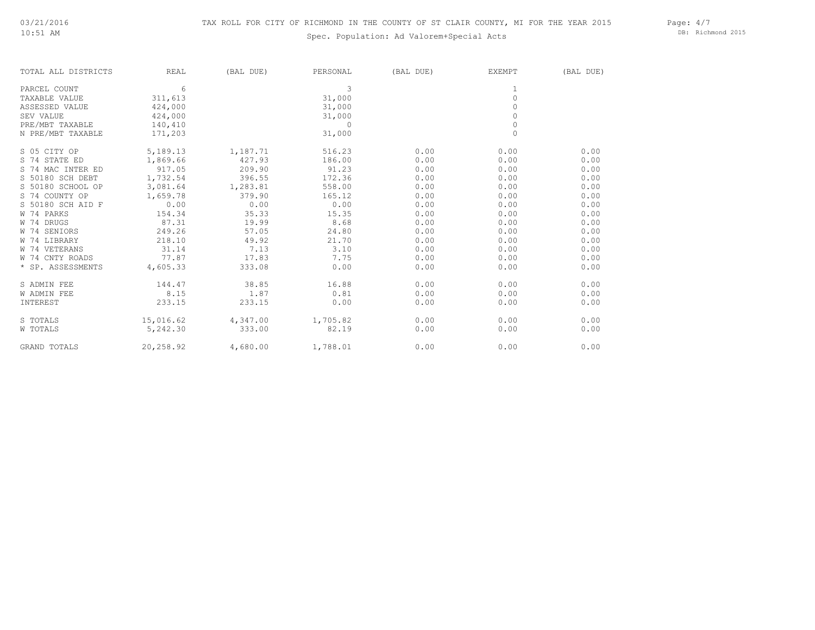# Spec. Population: Ad Valorem+Special Acts

Page: 4/7 DB: Richmond 2015

| TOTAL ALL DISTRICTS | <b>REAL</b> | (BAL DUE) | PERSONAL | (BAL DUE) | EXEMPT              | (BAL DUE) |
|---------------------|-------------|-----------|----------|-----------|---------------------|-----------|
| PARCEL COUNT        | 6           |           | 3        |           |                     |           |
| TAXABLE VALUE       | 311,613     |           | 31,000   |           | $\circ$             |           |
| ASSESSED VALUE      | 424,000     |           | 31,000   |           | $\Omega$            |           |
| SEV VALUE           | 424,000     |           | 31,000   |           | $\circ$             |           |
| PRE/MBT TAXABLE     | 140,410     |           | $\Omega$ |           | $\mathsf{O}\xspace$ |           |
| N PRE/MBT TAXABLE   | 171,203     |           | 31,000   |           | $\mathbf{0}$        |           |
| S 05 CITY OP        | 5,189.13    | 1,187.71  | 516.23   | 0.00      | 0.00                | 0.00      |
| S 74 STATE ED       | 1,869.66    | 427.93    | 186.00   | 0.00      | 0.00                | 0.00      |
| S 74 MAC INTER ED   | 917.05      | 209.90    | 91.23    | 0.00      | 0.00                | 0.00      |
| S 50180 SCH DEBT    | 1,732.54    | 396.55    | 172.36   | 0.00      | 0.00                | 0.00      |
| S 50180 SCHOOL OP   | 3,081.64    | 1,283.81  | 558.00   | 0.00      | 0.00                | 0.00      |
| S 74 COUNTY OP      | 1,659.78    | 379.90    | 165.12   | 0.00      | 0.00                | 0.00      |
| S 50180 SCH AID F   | 0.00        | 0.00      | 0.00     | 0.00      | 0.00                | 0.00      |
| W 74 PARKS          | 154.34      | 35.33     | 15.35    | 0.00      | 0.00                | 0.00      |
| W 74 DRUGS          | 87.31       | 19.99     | 8.68     | 0.00      | 0.00                | 0.00      |
| W 74 SENIORS        | 249.26      | 57.05     | 24.80    | 0.00      | 0.00                | 0.00      |
| W 74 LIBRARY        | 218.10      | 49.92     | 21.70    | 0.00      | 0.00                | 0.00      |
| W 74 VETERANS       | 31.14       | 7.13      | 3.10     | 0.00      | 0.00                | 0.00      |
| W 74 CNTY ROADS     | 77.87       | 17.83     | 7.75     | 0.00      | 0.00                | 0.00      |
| * SP. ASSESSMENTS   | 4,605.33    | 333.08    | 0.00     | 0.00      | 0.00                | 0.00      |
| S ADMIN FEE         | 144.47      | 38.85     | 16.88    | 0.00      | 0.00                | 0.00      |
| <b>W ADMIN FEE</b>  | 8.15        | 1.87      | 0.81     | 0.00      | 0.00                | 0.00      |
| INTEREST            | 233.15      | 233.15    | 0.00     | 0.00      | 0.00                | 0.00      |
| S TOTALS            | 15,016.62   | 4,347.00  | 1,705.82 | 0.00      | 0.00                | 0.00      |
| W TOTALS            | 5,242.30    | 333.00    | 82.19    | 0.00      | 0.00                | 0.00      |
| GRAND TOTALS        | 20,258.92   | 4,680.00  | 1,788.01 | 0.00      | 0.00                | 0.00      |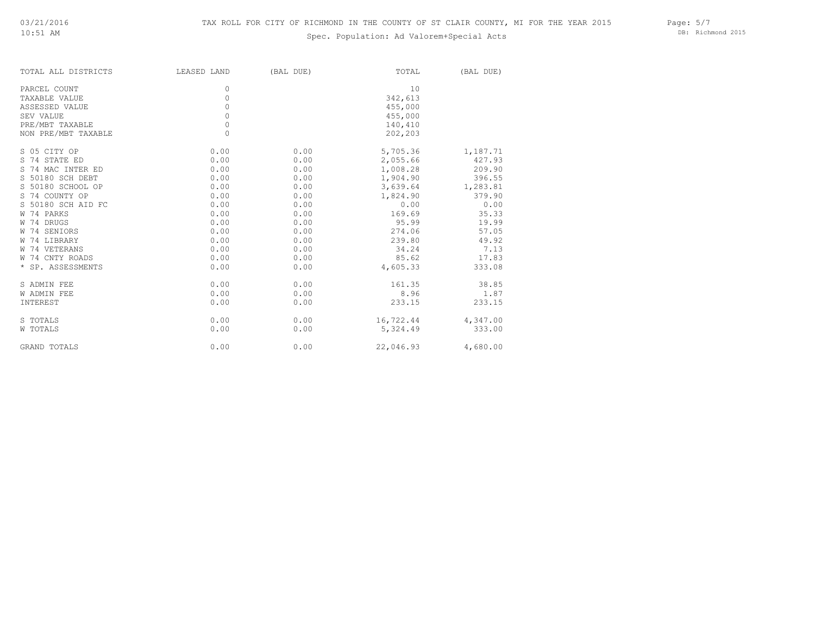# Spec. Population: Ad Valorem+Special Acts

Page: 5/7 DB: Richmond 2015

| TOTAL ALL DISTRICTS | LEASED LAND | (BAL DUE) | TOTAL     | (BAL DUE) |
|---------------------|-------------|-----------|-----------|-----------|
| PARCEL COUNT        | 0           |           | 10        |           |
| TAXABLE VALUE       | 0           |           | 342,613   |           |
| ASSESSED VALUE      | 0           |           | 455,000   |           |
| SEV VALUE           | $\circ$     |           | 455,000   |           |
| PRE/MBT TAXABLE     | $\circ$     |           | 140,410   |           |
| NON PRE/MBT TAXABLE | 0           |           | 202,203   |           |
| S 05 CITY OP        | 0.00        | 0.00      | 5,705.36  | 1,187.71  |
| S 74 STATE ED       | 0.00        | 0.00      | 2,055.66  | 427.93    |
| S 74 MAC INTER ED   | 0.00        | 0.00      | 1,008.28  | 209.90    |
| S 50180 SCH DEBT    | 0.00        | 0.00      | 1,904.90  | 396.55    |
| S 50180 SCHOOL OP   | 0.00        | 0.00      | 3,639.64  | 1,283.81  |
| S 74 COUNTY OP      | 0.00        | 0.00      | 1,824.90  | 379.90    |
| S 50180 SCH AID FC  | 0.00        | 0.00      | 0.00      | 0.00      |
| W 74 PARKS          | 0.00        | 0.00      | 169.69    | 35.33     |
| W 74 DRUGS          | 0.00        | 0.00      | 95.99     | 19.99     |
| W 74 SENIORS        | 0.00        | 0.00      | 274.06    | 57.05     |
| W 74 LIBRARY        | 0.00        | 0.00      | 239.80    | 49.92     |
| W 74 VETERANS       | 0.00        | 0.00      | 34.24     | 7.13      |
| W 74 CNTY ROADS     | 0.00        | 0.00      | 85.62     | 17.83     |
| * SP. ASSESSMENTS   | 0.00        | 0.00      | 4,605.33  | 333.08    |
| S ADMIN FEE         | 0.00        | 0.00      | 161.35    | 38.85     |
| W ADMIN FEE         | 0.00        | 0.00      | 8.96      | 1.87      |
| INTEREST            | 0.00        | 0.00      | 233.15    | 233.15    |
| S TOTALS            | 0.00        | 0.00      | 16,722.44 | 4,347.00  |
| W TOTALS            | 0.00        | 0.00      | 5,324.49  | 333.00    |
| GRAND TOTALS        | 0.00        | 0.00      | 22,046.93 | 4,680.00  |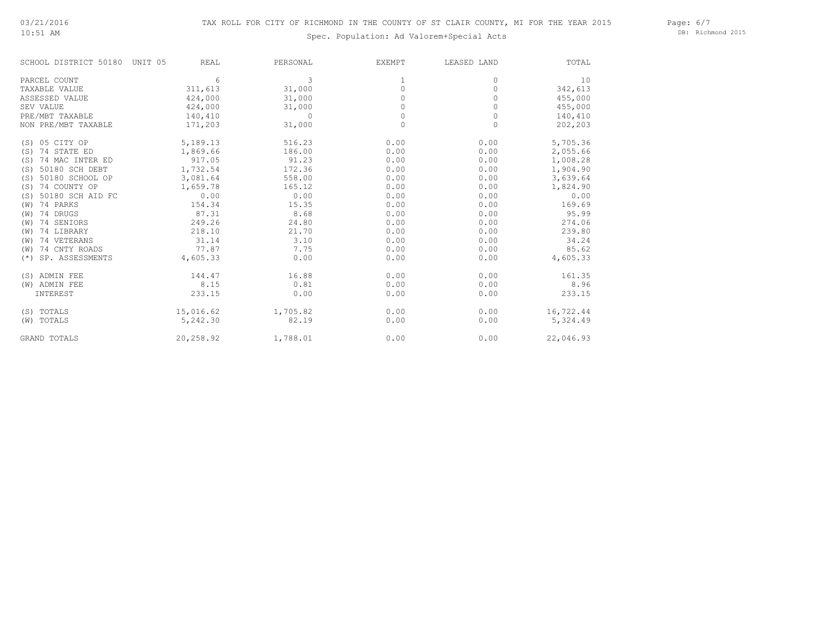10:51 AM

# Spec. Population: Ad Valorem+Special Acts

Page: 6/7 DB: Richmond 2015

| SCHOOL DISTRICT 50180     | UNIT 05<br>REAL | PERSONAL | <b>EXEMPT</b> | LEASED LAND | TOTAL     |
|---------------------------|-----------------|----------|---------------|-------------|-----------|
| PARCEL COUNT              | 6               | 3        |               | 0           | 10        |
| TAXABLE VALUE             | 311,613         | 31,000   | 0             | $\Omega$    | 342,613   |
| ASSESSED VALUE            | 424,000         | 31,000   | 0             | 0           | 455,000   |
| SEV VALUE                 | 424,000         | 31,000   | $\Omega$      | $\Omega$    | 455,000   |
| PRE/MBT TAXABLE           | 140,410         | $\Omega$ | $\Omega$      | $\Omega$    | 140,410   |
| NON PRE/MBT TAXABLE       | 171,203         | 31,000   | $\circ$       | $\circ$     | 202,203   |
| (S) 05 CITY OP            | 5,189.13        | 516.23   | 0.00          | 0.00        | 5,705.36  |
| 74 STATE ED<br>(S)        | 1,869.66        | 186.00   | 0.00          | 0.00        | 2,055.66  |
| 74 MAC INTER ED<br>(S)    | 917.05          | 91.23    | 0.00          | 0.00        | 1,008.28  |
| 50180 SCH DEBT<br>(S)     | 1,732.54        | 172.36   | 0.00          | 0.00        | 1,904.90  |
| 50180 SCHOOL OP<br>(S)    | 3,081.64        | 558.00   | 0.00          | 0.00        | 3,639.64  |
| 74 COUNTY OP<br>(S)       | 1,659.78        | 165.12   | 0.00          | 0.00        | 1,824.90  |
| 50180 SCH AID FC<br>(S)   | 0.00            | 0.00     | 0.00          | 0.00        | 0.00      |
| 74 PARKS<br>(W)           | 154.34          | 15.35    | 0.00          | 0.00        | 169.69    |
| 74 DRUGS<br>(W)           | 87.31           | 8.68     | 0.00          | 0.00        | 95.99     |
| 74 SENIORS<br>(W)         | 249.26          | 24.80    | 0.00          | 0.00        | 274.06    |
| 74 LIBRARY<br>(W)         | 218.10          | 21.70    | 0.00          | 0.00        | 239.80    |
| 74 VETERANS<br>(W)        | 31.14           | 3.10     | 0.00          | 0.00        | 34.24     |
| 74 CNTY ROADS<br>(W)      | 77.87           | 7.75     | 0.00          | 0.00        | 85.62     |
| SP. ASSESSMENTS<br>$(* )$ | 4,605.33        | 0.00     | 0.00          | 0.00        | 4,605.33  |
| (S) ADMIN FEE             | 144.47          | 16.88    | 0.00          | 0.00        | 161.35    |
| (W) ADMIN FEE             | 8.15            | 0.81     | 0.00          | 0.00        | 8.96      |
| INTEREST                  | 233.15          | 0.00     | 0.00          | 0.00        | 233.15    |
| (S) TOTALS                | 15,016.62       | 1,705.82 | 0.00          | 0.00        | 16,722.44 |
| (W) TOTALS                | 5,242.30        | 82.19    | 0.00          | 0.00        | 5,324.49  |
| <b>GRAND TOTALS</b>       | 20,258.92       | 1,788.01 | 0.00          | 0.00        | 22,046.93 |